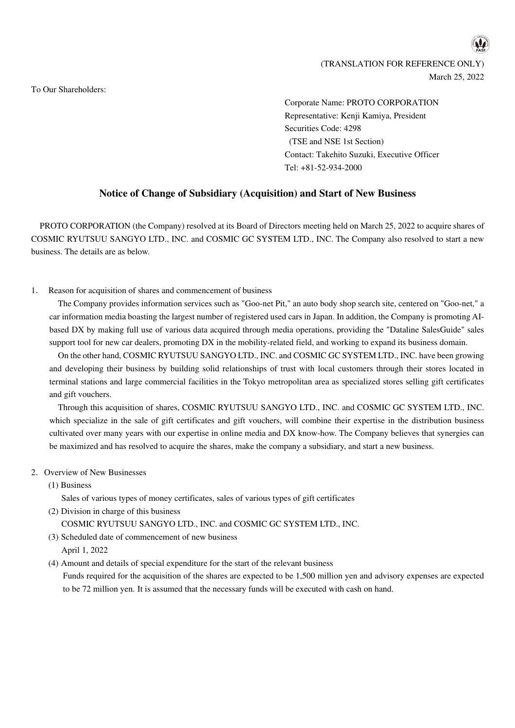(TRANSLATION FOR REFERENCE ONLY) March 25, 2022

To Our Shareholders:

Corporate Name: PROTO CORPORATION Representative: Kenji Kamiya, President Securities Code: 4298 (TSE and NSE 1st Section) Contact: Takehito Suzuki, Executive Officer Tel: +81-52-934-2000

# **Notice of Change of Subsidiary (Acquisition) and Start of New Business**

PROTO CORPORATION (the Company) resolved at its Board of Directors meeting held on March 25, 2022 to acquire shares of COSMIC RYUTSUU SANGYO LTD., INC. and COSMIC GC SYSTEM LTD., INC. The Company also resolved to start a new business. The details are as below.

1. Reason for acquisition of shares and commencement of business

The Company provides information services such as "Goo-net Pit," an auto body shop search site, centered on "Goo-net," a car information media boasting the largest number of registered used cars in Japan. In addition, the Company is promoting AIbased DX by making full use of various data acquired through media operations, providing the "Dataline SalesGuide" sales support tool for new car dealers, promoting DX in the mobility-related field, and working to expand its business domain.

On the other hand, COSMIC RYUTSUU SANGYO LTD., INC. and COSMIC GC SYSTEM LTD., INC. have been growing and developing their business by building solid relationships of trust with local customers through their stores located in terminal stations and large commercial facilities in the Tokyo metropolitan area as specialized stores selling gift certificates and gift vouchers.

Through this acquisition of shares, COSMIC RYUTSUU SANGYO LTD., INC. and COSMIC GC SYSTEM LTD., INC. which specialize in the sale of gift certificates and gift vouchers, will combine their expertise in the distribution business cultivated over many years with our expertise in online media and DX know-how. The Company believes that synergies can be maximized and has resolved to acquire the shares, make the company a subsidiary, and start a new business.

- 2. Overview of New Businesses
	- (1) Business

Sales of various types of money certificates, sales of various types of gift certificates

- (2) Division in charge of this business COSMIC RYUTSUU SANGYO LTD., INC. and COSMIC GC SYSTEM LTD., INC.
- (3) Scheduled date of commencement of new business April 1, 2022
- (4) Amount and details of special expenditure for the start of the relevant business Funds required for the acquisition of the shares are expected to be 1,500 million yen and advisory expenses are expected to be 72 million yen. It is assumed that the necessary funds will be executed with cash on hand.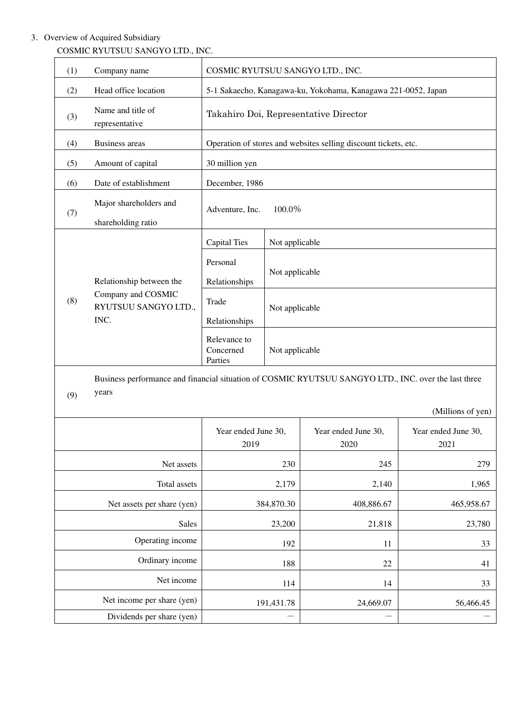# 3. Overview of Acquired Subsidiary

| (1)                        | Company name                                                                                                  | COSMIC RYUTSUU SANGYO LTD., INC.                                |                |                             |                             |
|----------------------------|---------------------------------------------------------------------------------------------------------------|-----------------------------------------------------------------|----------------|-----------------------------|-----------------------------|
| (2)                        | Head office location                                                                                          | 5-1 Sakaecho, Kanagawa-ku, Yokohama, Kanagawa 221-0052, Japan   |                |                             |                             |
| (3)                        | Name and title of<br>representative                                                                           | Takahiro Doi, Representative Director                           |                |                             |                             |
| (4)                        | <b>Business areas</b>                                                                                         | Operation of stores and websites selling discount tickets, etc. |                |                             |                             |
| (5)                        | Amount of capital                                                                                             | 30 million yen                                                  |                |                             |                             |
| (6)                        | Date of establishment                                                                                         | December, 1986                                                  |                |                             |                             |
| (7)                        | Major shareholders and<br>shareholding ratio                                                                  | 100.0%<br>Adventure, Inc.                                       |                |                             |                             |
|                            | Relationship between the<br>Company and COSMIC<br>RYUTSUU SANGYO LTD.,<br>INC.                                | <b>Capital Ties</b>                                             | Not applicable |                             |                             |
| (8)                        |                                                                                                               | Personal<br>Relationships                                       | Not applicable |                             |                             |
|                            |                                                                                                               | Trade<br>Relationships                                          | Not applicable |                             |                             |
|                            |                                                                                                               | Relevance to<br>Concerned<br>Parties                            | Not applicable |                             |                             |
| (9)                        | Business performance and financial situation of COSMIC RYUTSUU SANGYO LTD., INC. over the last three<br>years |                                                                 |                |                             |                             |
|                            |                                                                                                               |                                                                 |                |                             | (Millions of yen)           |
|                            |                                                                                                               | Year ended June 30,<br>2019                                     |                | Year ended June 30,<br>2020 | Year ended June 30,<br>2021 |
|                            | Net assets                                                                                                    |                                                                 | 230            | 245                         | 279                         |
| Total assets               |                                                                                                               | 2,179                                                           |                | 2,140                       | 1,965                       |
| Net assets per share (yen) |                                                                                                               | 384,870.30                                                      |                | 408,886.67                  | 465,958.67                  |
|                            | Sales                                                                                                         | 23,200                                                          |                | 21,818                      | 23,780                      |
|                            | Operating income                                                                                              | 192                                                             |                | 11                          | 33                          |
| Ordinary income            |                                                                                                               | 188                                                             |                | 22                          | 41                          |
|                            | Net income                                                                                                    | 114                                                             |                | 14                          | 33                          |
| Net income per share (yen) |                                                                                                               | 191,431.78                                                      |                | 24,669.07                   | 56,466.45                   |
| Dividends per share (yen)  |                                                                                                               |                                                                 |                |                             |                             |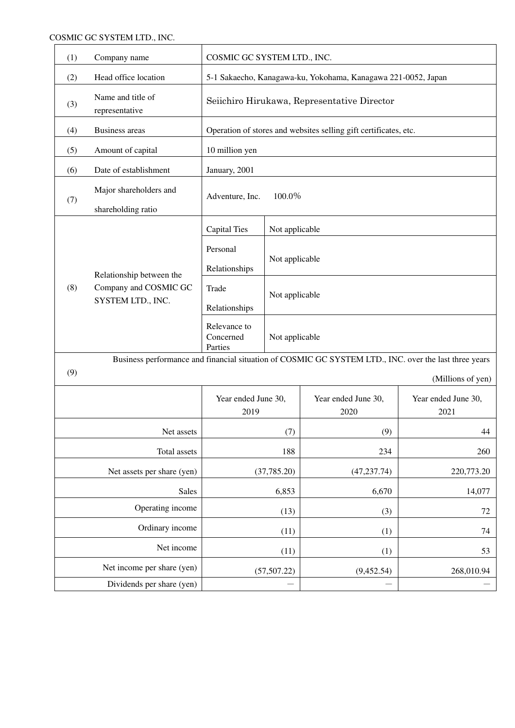| (1) | Company name                                                                                          | COSMIC GC SYSTEM LTD., INC.                                      |                |                             |                             |
|-----|-------------------------------------------------------------------------------------------------------|------------------------------------------------------------------|----------------|-----------------------------|-----------------------------|
| (2) | Head office location                                                                                  | 5-1 Sakaecho, Kanagawa-ku, Yokohama, Kanagawa 221-0052, Japan    |                |                             |                             |
| (3) | Name and title of<br>representative                                                                   | Seiichiro Hirukawa, Representative Director                      |                |                             |                             |
| (4) | <b>Business</b> areas                                                                                 | Operation of stores and websites selling gift certificates, etc. |                |                             |                             |
| (5) | Amount of capital                                                                                     | 10 million yen                                                   |                |                             |                             |
| (6) | Date of establishment                                                                                 | January, 2001                                                    |                |                             |                             |
| (7) | Major shareholders and<br>shareholding ratio                                                          | 100.0%<br>Adventure, Inc.                                        |                |                             |                             |
|     |                                                                                                       | <b>Capital Ties</b>                                              | Not applicable |                             |                             |
| (8) | Relationship between the<br>Company and COSMIC GC<br>SYSTEM LTD., INC.                                | Personal<br>Relationships                                        | Not applicable |                             |                             |
|     |                                                                                                       | Trade<br>Relationships                                           | Not applicable |                             |                             |
|     |                                                                                                       | Relevance to<br>Concerned<br>Not applicable<br>Parties           |                |                             |                             |
|     | Business performance and financial situation of COSMIC GC SYSTEM LTD., INC. over the last three years |                                                                  |                |                             |                             |
| (9) |                                                                                                       |                                                                  |                |                             | (Millions of yen)           |
|     |                                                                                                       | Year ended June 30,<br>2019                                      |                | Year ended June 30,<br>2020 | Year ended June 30,<br>2021 |
|     | Net assets                                                                                            |                                                                  | (7)            | (9)                         | 44                          |
|     | Total assets                                                                                          |                                                                  | 188            | 234                         | 260                         |
|     | Net assets per share (yen)                                                                            | (37, 785.20)                                                     |                | (47, 237.74)                | 220,773.20                  |
|     | Sales                                                                                                 | 6,853                                                            |                | 6,670                       | 14,077                      |
|     | Operating income                                                                                      | (13)                                                             |                | (3)                         | 72                          |
|     | Ordinary income                                                                                       |                                                                  | (11)           | (1)                         | 74                          |
|     | Net income                                                                                            |                                                                  | (11)           | (1)                         | 53                          |
|     | Net income per share (yen)                                                                            |                                                                  | (57, 507.22)   | (9,452.54)                  | 268,010.94                  |
|     | Dividends per share (yen)                                                                             |                                                                  |                |                             |                             |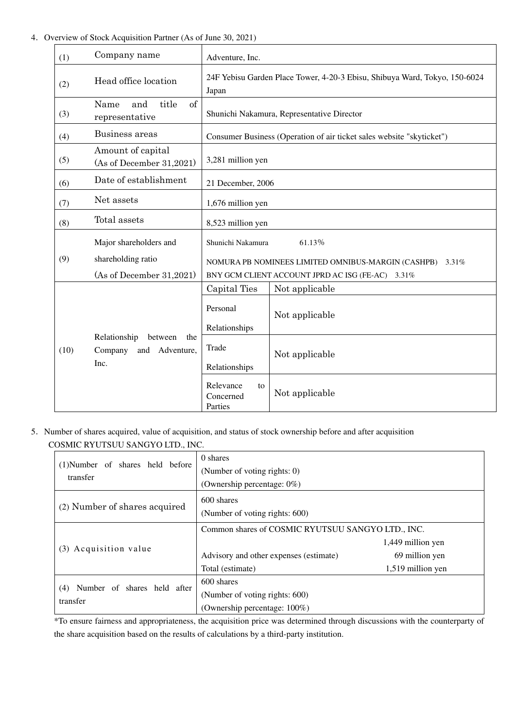## 4.Overview of Stock Acquisition Partner (As of June 30, 2021)

| (1)  | Company name                                                        | Adventure, Inc.                                                                                                 |  |  |
|------|---------------------------------------------------------------------|-----------------------------------------------------------------------------------------------------------------|--|--|
| (2)  | Head office location                                                | 24F Yebisu Garden Place Tower, 4-20-3 Ebisu, Shibuya Ward, Tokyo, 150-6024<br>Japan                             |  |  |
| (3)  | of<br>title<br>Name<br>and<br>representative                        | Shunichi Nakamura, Representative Director                                                                      |  |  |
| (4)  | Business areas                                                      | Consumer Business (Operation of air ticket sales website "skyticket")                                           |  |  |
| (5)  | Amount of capital<br>(As of December 31,2021)                       | 3,281 million yen                                                                                               |  |  |
| (6)  | Date of establishment                                               | 21 December, 2006                                                                                               |  |  |
| (7)  | Net assets                                                          | 1,676 million yen                                                                                               |  |  |
| (8)  | Total assets                                                        | 8,523 million yen                                                                                               |  |  |
|      | Major shareholders and                                              | Shunichi Nakamura<br>61.13%                                                                                     |  |  |
| (9)  | shareholding ratio<br>(As of December $31,2021$ )                   | NOMURA PB NOMINEES LIMITED OMNIBUS-MARGIN (CASHPB)<br>3.31%<br>BNY GCM CLIENT ACCOUNT JPRD AC ISG (FE-AC) 3.31% |  |  |
|      |                                                                     | Capital Ties<br>Not applicable                                                                                  |  |  |
|      |                                                                     | Personal<br>Not applicable<br>Relationships                                                                     |  |  |
| (10) | Relationship<br>between<br>the<br>Company<br>and Adventure,<br>Inc. | Trade<br>Not applicable<br>Relationships                                                                        |  |  |
|      |                                                                     | Relevance<br>to<br>Not applicable<br>Concerned<br>Parties                                                       |  |  |

5.Number of shares acquired, value of acquisition, and status of stock ownership before and after acquisition COSMIC RYUTSUU SANGYO LTD., INC.

|                                  | 0 shares                                          |                   |  |  |
|----------------------------------|---------------------------------------------------|-------------------|--|--|
| (1) Number of shares held before | (Number of voting rights: 0)                      |                   |  |  |
| transfer                         | (Ownership percentage: 0%)                        |                   |  |  |
|                                  | 600 shares                                        |                   |  |  |
| (2) Number of shares acquired    | (Number of voting rights: 600)                    |                   |  |  |
|                                  | Common shares of COSMIC RYUTSUU SANGYO LTD., INC. |                   |  |  |
|                                  |                                                   | 1,449 million yen |  |  |
| (3) Acquisition value            | Advisory and other expenses (estimate)            | 69 million yen    |  |  |
|                                  | Total (estimate)                                  | 1,519 million yen |  |  |
| Number of shares held after      | 600 shares                                        |                   |  |  |
| (4)<br>transfer                  | (Number of voting rights: 600)                    |                   |  |  |
|                                  | (Ownership percentage: 100%)                      |                   |  |  |

\*To ensure fairness and appropriateness, the acquisition price was determined through discussions with the counterparty of the share acquisition based on the results of calculations by a third-party institution.